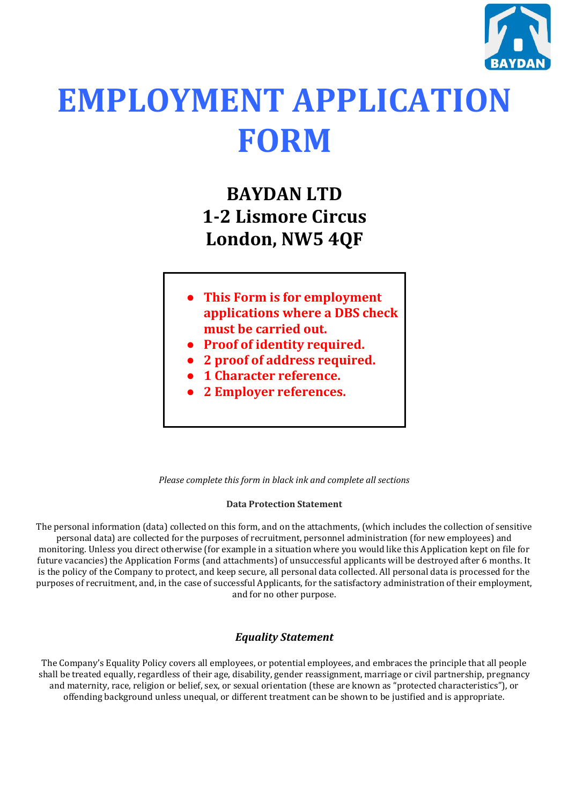

# **EMPLOYMENT APPLICATION FORM**

# **BAYDAN LTD 1-2 Lismore Circus London, NW5 4QF**

- **This Form is for employment applications where a DBS check must be carried out.**
- **Proof of identity required.**
- **2 proof of address required.**
- **1 Character reference.**
- **2 Employer references.**

### *Please complete this form in black ink and complete all sections*

#### **Data Protection Statement**

The personal information (data) collected on this form, and on the attachments, (which includes the collection of sensitive personal data) are collected for the purposes of recruitment, personnel administration (for new employees) and monitoring. Unless you direct otherwise (for example in a situation where you would like this Application kept on file for future vacancies) the Application Forms (and attachments) of unsuccessful applicants will be destroyed after 6 months. It is the policy of the Company to protect, and keep secure, all personal data collected. All personal data is processed for the purposes of recruitment, and, in the case of successful Applicants, for the satisfactory administration of their employment, and for no other purpose.

## *Equality Statement*

The Company's Equality Policy covers all employees, or potential employees, and embraces the principle that all people shall be treated equally, regardless of their age, disability, gender reassignment, marriage or civil partnership, pregnancy and maternity, race, religion or belief, sex, or sexual orientation (these are known as "protected characteristics"), or offending background unless unequal, or different treatment can be shown to be justified and is appropriate.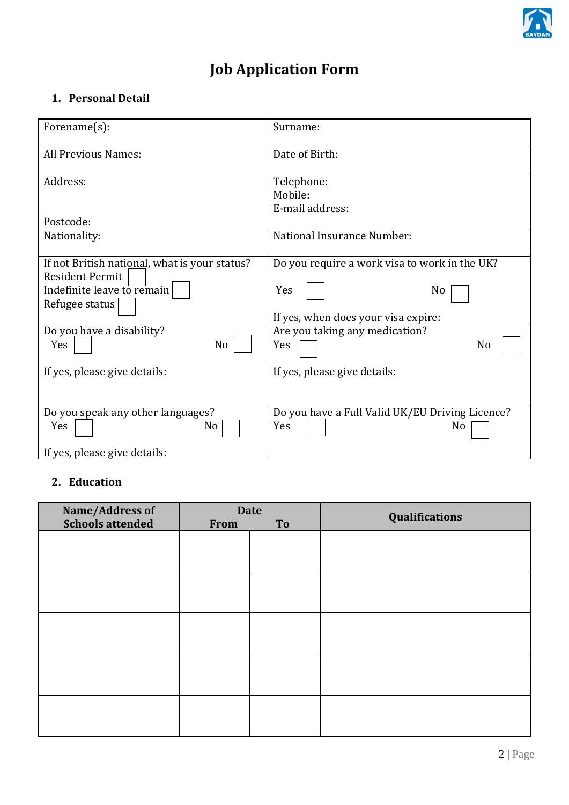

## **Job Application Form**

## **1. Personal Detail**

| Forename(s):                                                                                                                                                      | Surname:                                                                                                                                         |
|-------------------------------------------------------------------------------------------------------------------------------------------------------------------|--------------------------------------------------------------------------------------------------------------------------------------------------|
| All Previous Names:                                                                                                                                               | Date of Birth:                                                                                                                                   |
| Address:                                                                                                                                                          | Telephone:<br>Mobile:<br>E-mail address:                                                                                                         |
| Postcode:                                                                                                                                                         |                                                                                                                                                  |
| Nationality:                                                                                                                                                      | National Insurance Number:                                                                                                                       |
| If not British national, what is your status?<br><b>Resident Permit</b><br>Indefinite leave to remain<br>Refugee status<br>Do you have a disability?<br>Yes<br>No | Do you require a work visa to work in the UK?<br>Yes<br>No<br>If yes, when does your visa expire:<br>Are you taking any medication?<br>Yes<br>No |
| If yes, please give details:                                                                                                                                      | If yes, please give details:                                                                                                                     |
| Do you speak any other languages?<br>Yes<br>No<br>If yes, please give details:                                                                                    | Do you have a Full Valid UK/EU Driving Licence?<br>Yes<br>No                                                                                     |

## **2. Education**

| Name/Address of         | <b>Date</b> |    | Qualifications |  |
|-------------------------|-------------|----|----------------|--|
| <b>Schools attended</b> | From        | To |                |  |
|                         |             |    |                |  |
|                         |             |    |                |  |
|                         |             |    |                |  |
|                         |             |    |                |  |
|                         |             |    |                |  |
|                         |             |    |                |  |
|                         |             |    |                |  |
|                         |             |    |                |  |
|                         |             |    |                |  |
|                         |             |    |                |  |
|                         |             |    |                |  |
|                         |             |    |                |  |
|                         |             |    |                |  |
|                         |             |    |                |  |
|                         |             |    |                |  |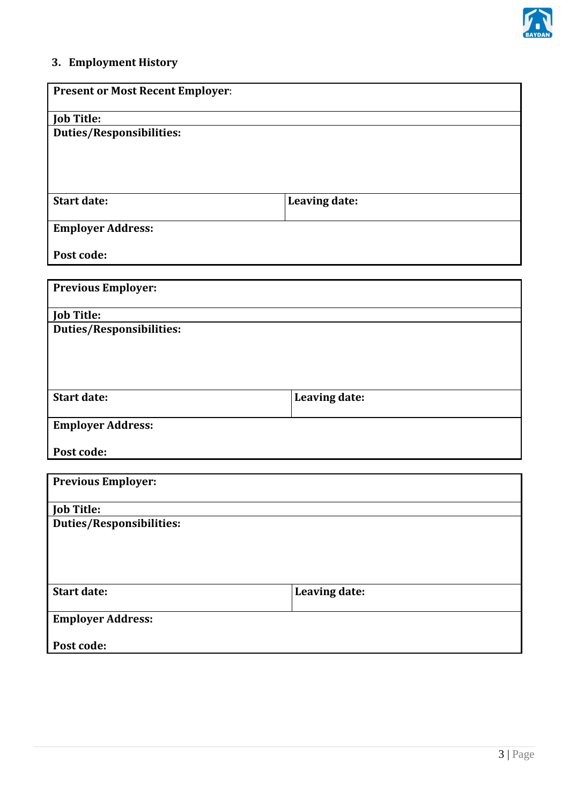

## **3. Employment History**

| <b>Present or Most Recent Employer:</b> |               |
|-----------------------------------------|---------------|
| <b>Job Title:</b>                       |               |
| <b>Duties/Responsibilities:</b>         |               |
|                                         |               |
| <b>Start date:</b>                      | Leaving date: |
| <b>Employer Address:</b>                |               |
| Post code:                              |               |
| <b>Previous Employer:</b>               |               |
| <b>Job Title:</b>                       |               |
| <b>Duties/Responsibilities:</b>         |               |
|                                         |               |
| <b>Start date:</b>                      | Leaving date: |
| <b>Employer Address:</b>                |               |
| Post code:                              |               |
| <b>Previous Employer:</b>               |               |
| <b>Job Title:</b>                       |               |
| <b>Duties/Responsibilities:</b>         |               |
|                                         |               |
| <b>Start date:</b>                      | Leaving date: |
| <b>Employer Address:</b>                |               |
| Post code:                              |               |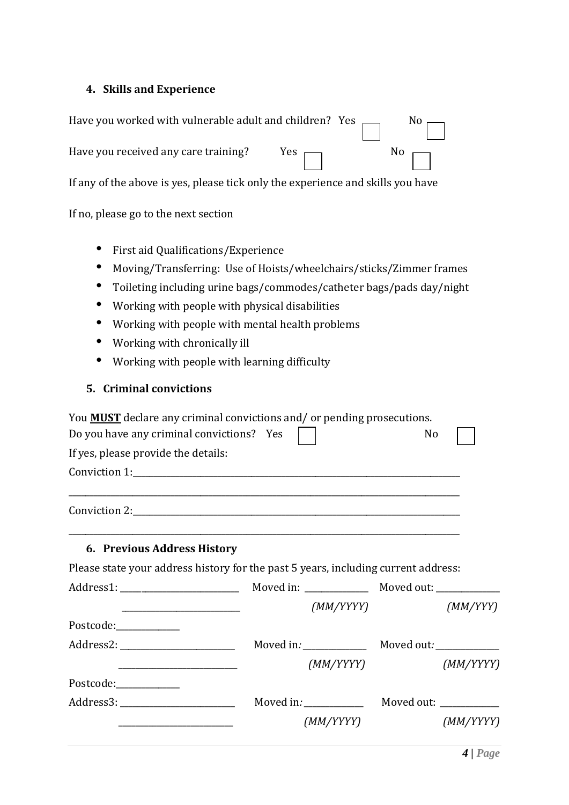## **4. Skills and Experience**

| Have you worked with vulnerable adult and children? Yes $\Box$ No $\Box$        |  |                       |
|---------------------------------------------------------------------------------|--|-----------------------|
| Have you received any care training? Yes $\Box$                                 |  | $\mathbb{R}^{\infty}$ |
| If any of the above is yes, please tick only the experience and skills you have |  |                       |

If no, please go to the next section

- First aid Qualifications/Experience
- Moving/Transferring: Use of Hoists/wheelchairs/sticks/Zimmer frames
- Toileting including urine bags/commodes/catheter bags/pads day/night
- Working with people with physical disabilities
- Working with people with mental health problems
- Working with chronically ill
- Working with people with learning difficulty

## **5. Criminal convictions**

| Do you have any criminal convictions? Yes | You <b>MUST</b> declare any criminal convictions and/ or pending prosecutions.     | No                      |
|-------------------------------------------|------------------------------------------------------------------------------------|-------------------------|
| If yes, please provide the details:       |                                                                                    |                         |
|                                           | Conviction 1:                                                                      |                         |
|                                           | Conviction 2:                                                                      |                         |
| 6. Previous Address History               |                                                                                    |                         |
|                                           | Please state your address history for the past 5 years, including current address: |                         |
|                                           |                                                                                    |                         |
|                                           |                                                                                    | (MM/YYYY)<br>(MM/YYY)   |
| Postcode:____________                     |                                                                                    |                         |
| Address2: ___________________________     |                                                                                    |                         |
|                                           |                                                                                    | (MM/YYYY)<br>(MM/YYYY)  |
| Postcode: National Postcode:              |                                                                                    |                         |
|                                           | Moved in: ___________                                                              | Moved out: ____________ |
|                                           | (MM/YYYY)                                                                          | (MM/YYYY)               |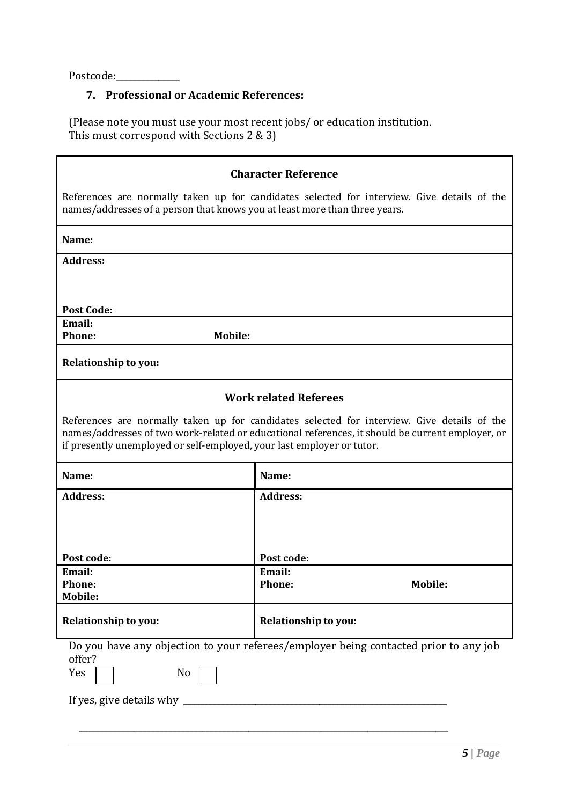Postcode:\_\_\_\_\_\_\_\_\_\_\_\_\_\_\_

## **7. Professional or Academic References:**

(Please note you must use your most recent jobs/ or education institution. This must correspond with Sections 2 & 3)

| <b>Character Reference</b>                                                                                                                                                                                                                                                |                              |                |  |  |
|---------------------------------------------------------------------------------------------------------------------------------------------------------------------------------------------------------------------------------------------------------------------------|------------------------------|----------------|--|--|
| References are normally taken up for candidates selected for interview. Give details of the<br>names/addresses of a person that knows you at least more than three years.                                                                                                 |                              |                |  |  |
| Name:                                                                                                                                                                                                                                                                     |                              |                |  |  |
| <b>Address:</b>                                                                                                                                                                                                                                                           |                              |                |  |  |
|                                                                                                                                                                                                                                                                           |                              |                |  |  |
| <b>Post Code:</b>                                                                                                                                                                                                                                                         |                              |                |  |  |
| Email:<br>Phone:<br><b>Mobile:</b>                                                                                                                                                                                                                                        |                              |                |  |  |
| Relationship to you:                                                                                                                                                                                                                                                      |                              |                |  |  |
|                                                                                                                                                                                                                                                                           | <b>Work related Referees</b> |                |  |  |
| References are normally taken up for candidates selected for interview. Give details of the<br>names/addresses of two work-related or educational references, it should be current employer, or<br>if presently unemployed or self-employed, your last employer or tutor. |                              |                |  |  |
| Name:                                                                                                                                                                                                                                                                     | Name:                        |                |  |  |
| <b>Address:</b>                                                                                                                                                                                                                                                           | <b>Address:</b>              |                |  |  |
|                                                                                                                                                                                                                                                                           |                              |                |  |  |
|                                                                                                                                                                                                                                                                           |                              |                |  |  |
| Post code:<br>Email:                                                                                                                                                                                                                                                      | Post code:<br>Email:         |                |  |  |
| <b>Phone:</b><br><b>Mobile:</b>                                                                                                                                                                                                                                           | <b>Phone:</b>                | <b>Mobile:</b> |  |  |
| <b>Relationship to you:</b>                                                                                                                                                                                                                                               | Relationship to you:         |                |  |  |
| Do you have any objection to your referees/employer being contacted prior to any job<br>offer?<br>Yes<br>No<br>If yes, give details why __                                                                                                                                |                              |                |  |  |
|                                                                                                                                                                                                                                                                           |                              |                |  |  |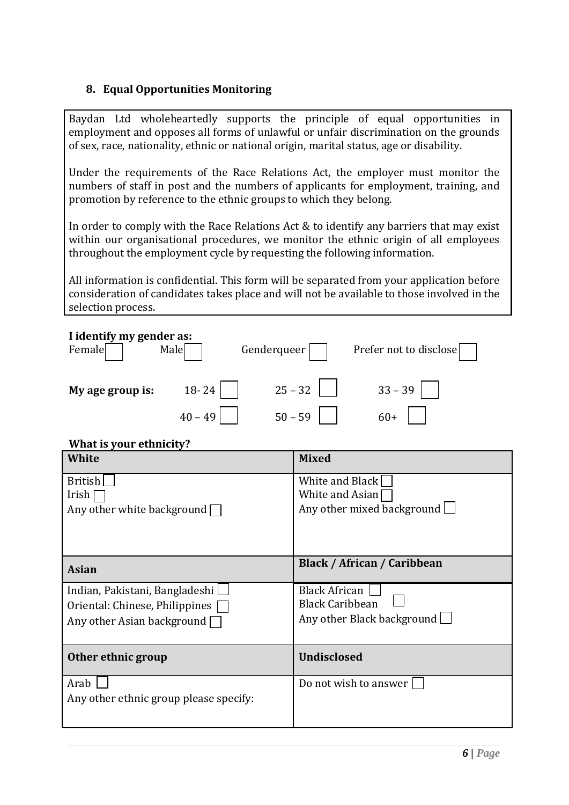## **8. Equal Opportunities Monitoring**

Baydan Ltd wholeheartedly supports the principle of equal opportunities in employment and opposes all forms of unlawful or unfair discrimination on the grounds of sex, race, nationality, ethnic or national origin, marital status, age or disability.

Under the requirements of the Race Relations Act, the employer must monitor the numbers of staff in post and the numbers of applicants for employment, training, and promotion by reference to the ethnic groups to which they belong.

In order to comply with the Race Relations Act & to identify any barriers that may exist within our organisational procedures, we monitor the ethnic origin of all employees throughout the employment cycle by requesting the following information.

All information is confidential. This form will be separated from your application before consideration of candidates takes place and will not be available to those involved in the selection process.

| I identify my gender as:<br>Female<br>Male<br>Genderqueer                                      | Prefer not to disclose                                                       |
|------------------------------------------------------------------------------------------------|------------------------------------------------------------------------------|
| 18-24<br>My age group is:                                                                      | $25 - 32$<br>$33 - 39$                                                       |
| $40 - 49$                                                                                      | $50 - 59$<br>$60+$                                                           |
| What is your ethnicity?                                                                        |                                                                              |
| White                                                                                          | <b>Mixed</b>                                                                 |
| <b>British</b><br>Irish<br>Any other white background $\Box$                                   | White and Black<br>White and Asian<br>Any other mixed background $\Box$      |
| <b>Asian</b>                                                                                   | <b>Black / African / Caribbean</b>                                           |
| Indian, Pakistani, Bangladeshi<br>Oriental: Chinese, Philippines<br>Any other Asian background | <b>Black African</b><br><b>Black Caribbean</b><br>Any other Black background |
| Other ethnic group                                                                             | <b>Undisclosed</b>                                                           |
| Arab<br>Any other ethnic group please specify:                                                 | Do not wish to answer                                                        |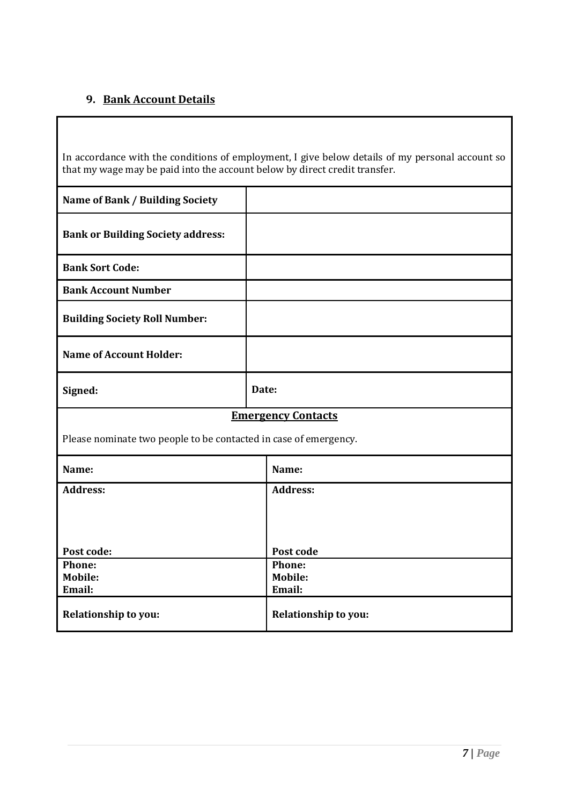## **9. Bank Account Details**

In accordance with the conditions of employment, I give below details of my personal account so that my wage may be paid into the account below by direct credit transfer.

| Name of Bank / Building Society                                  |                             |  |
|------------------------------------------------------------------|-----------------------------|--|
| <b>Bank or Building Society address:</b>                         |                             |  |
| <b>Bank Sort Code:</b>                                           |                             |  |
| <b>Bank Account Number</b>                                       |                             |  |
| <b>Building Society Roll Number:</b>                             |                             |  |
| <b>Name of Account Holder:</b>                                   |                             |  |
| Signed:                                                          | Date:                       |  |
|                                                                  | <b>Emergency Contacts</b>   |  |
| Please nominate two people to be contacted in case of emergency. |                             |  |
| Name:<br>Name:                                                   |                             |  |
| <b>Address:</b>                                                  | <b>Address:</b>             |  |
|                                                                  |                             |  |
|                                                                  |                             |  |
| Post code:                                                       | Post code                   |  |
| Phone:                                                           | Phone:                      |  |
| <b>Mobile:</b>                                                   | <b>Mobile:</b>              |  |
| Email:                                                           | Email:                      |  |
| <b>Relationship to you:</b>                                      | <b>Relationship to you:</b> |  |